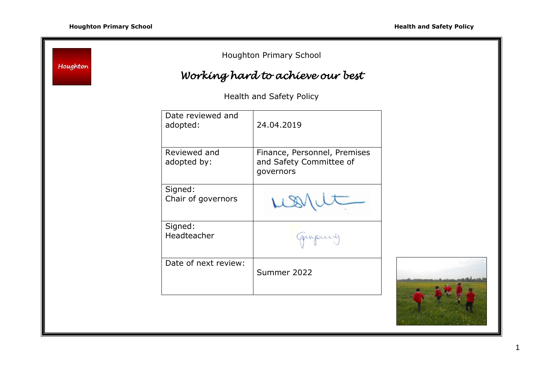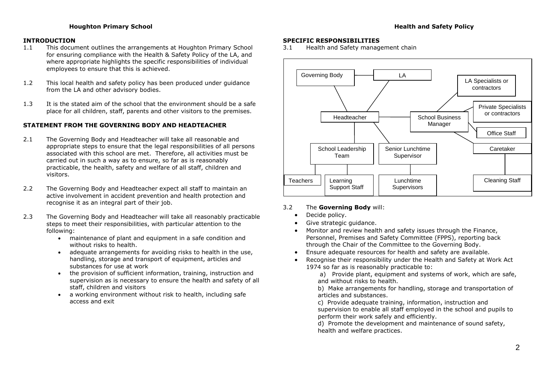# **INTRODUCTION**

- 1.1 This document outlines the arrangements at Houghton Primary School for ensuring compliance with the Health & Safety Policy of the LA, and where appropriate highlights the specific responsibilities of individual employees to ensure that this is achieved.
- 1.2 This local health and safety policy has been produced under guidance from the LA and other advisory bodies.
- 1.3 It is the stated aim of the school that the environment should be a safe place for all children, staff, parents and other visitors to the premises.

# **STATEMENT FROM THE GOVERNING BODY AND HEADTEACHER**

- 2.1 The Governing Body and Headteacher will take all reasonable and appropriate steps to ensure that the legal responsibilities of all persons associated with this school are met. Therefore, all activities must be carried out in such a way as to ensure, so far as is reasonably practicable, the health, safety and welfare of all staff, children and visitors.
- 2.2 The Governing Body and Headteacher expect all staff to maintain an active involvement in accident prevention and health protection and recognise it as an integral part of their job.
- 2.3 The Governing Body and Headteacher will take all reasonably practicable steps to meet their responsibilities, with particular attention to the following:
	- maintenance of plant and equipment in a safe condition and without risks to health.
	- adequate arrangements for avoiding risks to health in the use, handling, storage and transport of equipment, articles and substances for use at work
	- the provision of sufficient information, training, instruction and supervision as is necessary to ensure the health and safety of all staff, children and visitors
	- a working environment without risk to health, including safe access and exit

## **SPECIFIC RESPONSIBILITIES**

3.1 Health and Safety management chain



# 3.2 The **Governing Body** will:

- Decide policy.
- Give strategic guidance.
- Monitor and review health and safety issues through the Finance, Personnel, Premises and Safety Committee (FPPS), reporting back through the Chair of the Committee to the Governing Body.
- Ensure adequate resources for health and safety are available.
- Recognise their responsibility under the Health and Safety at Work Act 1974 so far as is reasonably practicable to:

a) Provide plant, equipment and systems of work, which are safe, and without risks to health.

b) Make arrangements for handling, storage and transportation of articles and substances.

c) Provide adequate training, information, instruction and supervision to enable all staff employed in the school and pupils to perform their work safely and efficiently.

d) Promote the development and maintenance of sound safety, health and welfare practices.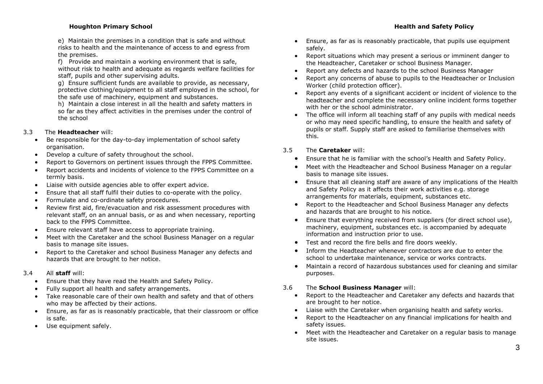e) Maintain the premises in a condition that is safe and without risks to health and the maintenance of access to and egress from the premises.

f) Provide and maintain a working environment that is safe, without risk to health and adequate as regards welfare facilities for staff, pupils and other supervising adults.

g) Ensure sufficient funds are available to provide, as necessary, protective clothing/equipment to all staff employed in the school, for the safe use of machinery, equipment and substances.

h) Maintain a close interest in all the health and safety matters in so far as they affect activities in the premises under the control of the school

# 3.3 The **Headteacher** will:

- Be responsible for the day-to-day implementation of school safety organisation.
- Develop a culture of safety throughout the school.
- Report to Governors on pertinent issues through the FPPS Committee.
- Report accidents and incidents of violence to the FPPS Committee on a termly basis.
- Liaise with outside agencies able to offer expert advice.
- Ensure that all staff fulfil their duties to co-operate with the policy.
- Formulate and co-ordinate safety procedures.
- Review first aid, fire/evacuation and risk assessment procedures with relevant staff, on an annual basis, or as and when necessary, reporting back to the FPPS Committee.
- Ensure relevant staff have access to appropriate training.
- Meet with the Caretaker and the school Business Manager on a regular basis to manage site issues.
- Report to the Caretaker and school Business Manager any defects and hazards that are brought to her notice.

# 3.4 All **staff** will:

- Ensure that they have read the Health and Safety Policy.
- Fully support all health and safety arrangements.
- Take reasonable care of their own health and safety and that of others who may be affected by their actions.
- Ensure, as far as is reasonably practicable, that their classroom or office is safe.
- Use equipment safely.
- Ensure, as far as is reasonably practicable, that pupils use equipment safely.
- Report situations which may present a serious or imminent danger to the Headteacher, Caretaker or school Business Manager.
- Report any defects and hazards to the school Business Manager
- Report any concerns of abuse to pupils to the Headteacher or Inclusion Worker (child protection officer).
- Report any events of a significant accident or incident of violence to the headteacher and complete the necessary online incident forms together with her or the school administrator.
- The office will inform all teaching staff of any pupils with medical needs or who may need specific handling, to ensure the health and safety of pupils or staff. Supply staff are asked to familiarise themselves with this.

# 3.5 The **Caretaker** will:

- Ensure that he is familiar with the school's Health and Safety Policy.
- Meet with the Headteacher and School Business Manager on a regular basis to manage site issues.
- Ensure that all cleaning staff are aware of any implications of the Health and Safety Policy as it affects their work activities e.g. storage arrangements for materials, equipment, substances etc.
- Report to the Headteacher and School Business Manager any defects and hazards that are brought to his notice.
- Ensure that everything received from suppliers (for direct school use), machinery, equipment, substances etc. is accompanied by adequate information and instruction prior to use.
- Test and record the fire bells and fire doors weekly.
- Inform the Headteacher whenever contractors are due to enter the school to undertake maintenance, service or works contracts.
- Maintain a record of hazardous substances used for cleaning and similar purposes.

# 3.6 The **School Business Manager** will:

- Report to the Headteacher and Caretaker any defects and hazards that are brought to her notice.
- Liaise with the Caretaker when organising health and safety works.
- Report to the Headteacher on any financial implications for health and safety issues.
- Meet with the Headteacher and Caretaker on a regular basis to manage site issues.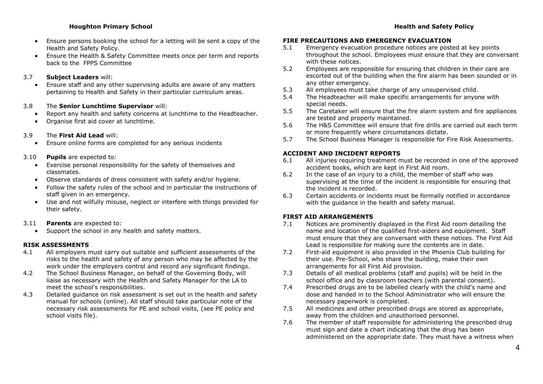- Ensure persons booking the school for a letting will be sent a copy of the Health and Safety Policy.
- Ensure the Health & Safety Committee meets once per term and reports back to the FPPS Committee

## 3.7 **Subject Leaders** will:

 Ensure staff and any other supervising adults are aware of any matters pertaining to Health and Safety in their particular curriculum areas.

#### 3.8 The **Senior Lunchtime Supervisor** will:

- Report any health and safety concerns at lunchtime to the Headteacher.
- Organise first aid cover at lunchtime.

# 3.9 The **First Aid Lead** will:

Ensure online forms are completed for any serious incidents

## 3.10 **Pupils** are expected to:

- Exercise personal responsibility for the safety of themselves and classmates.
- Observe standards of dress consistent with safety and/or hygiene.
- Follow the safety rules of the school and in particular the instructions of staff given in an emergency.
- Use and not wilfully misuse, neglect or interfere with things provided for their safety.
- 3.11 **Parents** are expected to:
	- Support the school in any health and safety matters.

# **RISK ASSESSMENTS**

- 4.1 All employers must carry out suitable and sufficient assessments of the risks to the health and safety of any person who may be affected by the work under the employers control and record any significant findings.
- 4.2 The School Business Manager, on behalf of the Governing Body, will liaise as necessary with the Health and Safety Manager for the LA to meet the school's responsibilities.
- 4.3 Detailed guidance on risk assessment is set out in the health and safety manual for schools (online). All staff should take particular note of the necessary risk assessments for PE and school visits, (see PE policy and school visits file).

# **FIRE PRECAUTIONS AND EMERGENCY EVACUATION**

- 5.1 Emergency evacuation procedure notices are posted at key points throughout the school. Employees must ensure that they are conversant with these notices.
- 5.2 Employees are responsible for ensuring that children in their care are escorted out of the building when the fire alarm has been sounded or in any other emergency.
- 5.3 All employees must take charge of any unsupervised child.
- 5.4 The Headteacher will make specific arrangements for anyone with special needs.
- 5.5 The Caretaker will ensure that the fire alarm system and fire appliances are tested and properly maintained.
- 5.6 The H&S Committee will ensure that fire drills are carried out each term or more frequently where circumstances dictate.
- 5.7 The School Business Manager is responsible for Fire Risk Assessments.

## **ACCIDENT AND INCIDENT REPORTS**

- 6.1 All injuries requiring treatment must be recorded in one of the approved accident books, which are kept in First Aid room.
- 6.2 In the case of an injury to a child, the member of staff who was supervising at the time of the incident is responsible for ensuring that the incident is recorded.
- 6.3 Certain accidents or incidents must be formally notified in accordance with the guidance in the health and safety manual.

# **FIRST AID ARRANGEMENTS**

- 7.1 Notices are prominently displayed in the First Aid room detailing the name and location of the qualified first-aiders and equipment. Staff must ensure that they are conversant with these notices. The First Aid Lead is responsible for making sure the contents are in date.
- 7.2 First-aid equipment is also provided in the Phoenix Club building for their use. Pre-School, who share the building, make their own arrangements for all First Aid provision.
- 7.3 Details of all medical problems (staff and pupils) will be held in the school office and by classroom teachers (with parental consent).
- 7.4 Prescribed drugs are to be labelled clearly with the child's name and dose and handed in to the School Administrator who will ensure the necessary paperwork is completed.
- 7.5 All medicines and other prescribed drugs are stored as appropriate, away from the children and unauthorised personnel.
- 7.6 The member of staff responsible for administering the prescribed drug must sign and date a chart indicating that the drug has been administered on the appropriate date. They must have a witness when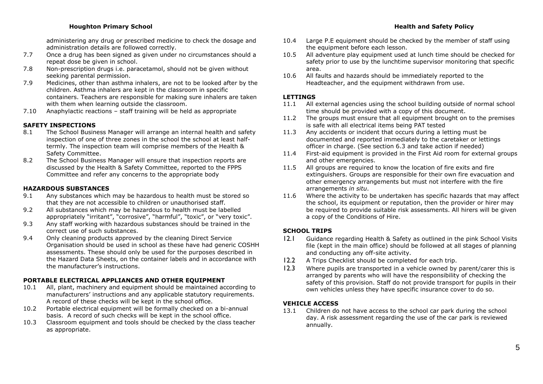administering any drug or prescribed medicine to check the dosage and administration details are followed correctly.

- 7.7 Once a drug has been signed as given under no circumstances should a repeat dose be given in school.
- 7.8 Non-prescription drugs i.e. paracetamol, should not be given without seeking parental permission.
- 7.9 Medicines, other than asthma inhalers, are not to be looked after by the children. Asthma inhalers are kept in the classroom in specific containers. Teachers are responsible for making sure inhalers are taken with them when learning outside the classroom.
- 7.10 Anaphylactic reactions staff training will be held as appropriate

# **SAFETY INSPECTIONS**

- 8.1 The School Business Manager will arrange an internal health and safety inspection of one of three zones in the school the school at least halftermly. The inspection team will comprise members of the Health & Safety Committee.
- 8.2 The School Business Manager will ensure that inspection reports are discussed by the Health & Safety Committee, reported to the FPPS Committee and refer any concerns to the appropriate body

#### **HAZARDOUS SUBSTANCES**

- 9.1 Any substances which may be hazardous to health must be stored so that they are not accessible to children or unauthorised staff.
- 9.2 All substances which may be hazardous to health must be labelled appropriately "irritant", "corrosive", "harmful", "toxic", or "very toxic".
- 9.3 Any staff working with hazardous substances should be trained in the correct use of such substances.
- 9.4 Only cleaning products approved by the cleaning Direct Service Organisation should be used in school as these have had generic COSHH assessments. These should only be used for the purposes described in the Hazard Data Sheets, on the container labels and in accordance with the manufacturer's instructions.

## **PORTABLE ELECTRICAL APPLIANCES AND OTHER EQUIPMENT**

- 10.1 All, plant, machinery and equipment should be maintained according to manufacturers' instructions and any applicable statutory requirements. A record of these checks will be kept in the school office.
- 10.2 Portable electrical equipment will be formally checked on a bi-annual basis. A record of such checks will be kept in the school office.
- 10.3 Classroom equipment and tools should be checked by the class teacher as appropriate.

#### 10.4 Large P.E equipment should be checked by the member of staff using the equipment before each lesson.

- 10.5 All adventure play equipment used at lunch time should be checked for safety prior to use by the lunchtime supervisor monitoring that specific area.
- 10.6 All faults and hazards should be immediately reported to the Headteacher, and the equipment withdrawn from use.

#### **LETTINGS**

- 11.1 All external agencies using the school building outside of normal school time should be provided with a copy of this document.
- 11.2 The groups must ensure that all equipment brought on to the premises is safe with all electrical items being PAT tested
- 11.3 Any accidents or incident that occurs during a letting must be documented and reported immediately to the caretaker or lettings officer in charge. (See section 6.3 and take action if needed)
- 11.4 First-aid equipment is provided in the First Aid room for external groups and other emergencies.
- 11.5 All groups are required to know the location of fire exits and fire extinguishers. Groups are responsible for their own fire evacuation and other emergency arrangements but must not interfere with the fire arrangements *in situ*.
- 11.6 Where the activity to be undertaken has specific hazards that may affect the school, its equipment or reputation, then the provider or hirer may be required to provide suitable risk assessments. All hirers will be given a copy of the Conditions of Hire.

# **SCHOOL TRIPS**

- 12.1 Guidance regarding Health & Safety as outlined in the pink School Visits file (kept in the main office) should be followed at all stages of planning and conducting any off-site activity.
- 12.2 A Trips Checklist should be completed for each trip.
- 12.3 Where pupils are transported in a vehicle owned by parent/carer this is arranged by parents who will have the responsibility of checking the safety of this provision. Staff do not provide transport for pupils in their own vehicles unless they have specific insurance cover to do so.

#### **VEHICLE ACCESS**

13.1 Children do not have access to the school car park during the school day. A risk assessment regarding the use of the car park is reviewed annually.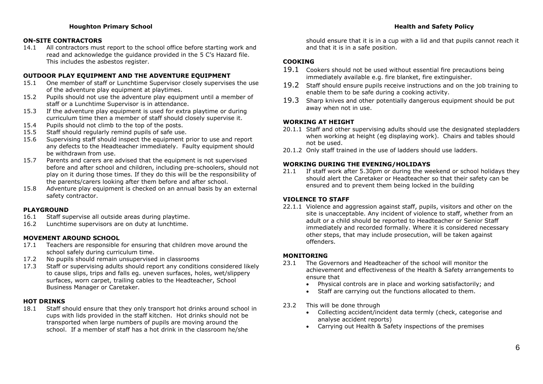# **ON-SITE CONTRACTORS**

14.1 All contractors must report to the school office before starting work and read and acknowledge the guidance provided in the 5 C's Hazard file. This includes the asbestos register.

# **OUTDOOR PLAY EQUIPMENT AND THE ADVENTURE EQUIPMENT**

- 15.1 One member of staff or Lunchtime Supervisor closely supervises the use of the adventure play equipment at playtimes.
- 15.2 Pupils should not use the adventure play equipment until a member of staff or a Lunchtime Supervisor is in attendance.
- 15.3 If the adventure play equipment is used for extra playtime or during curriculum time then a member of staff should closely supervise it.
- 15.4 Pupils should not climb to the top of the posts.
- 15.5 Staff should regularly remind pupils of safe use.
- 15.6 Supervising staff should inspect the equipment prior to use and report any defects to the Headteacher immediately. Faulty equipment should be withdrawn from use.
- 15.7 Parents and carers are advised that the equipment is not supervised before and after school and children, including pre-schoolers, should not play on it during those times. If they do this will be the responsibility of the parents/carers looking after them before and after school.
- 15.8 Adventure play equipment is checked on an annual basis by an external safety contractor.

#### **PLAYGROUND**

- 16.1 Staff supervise all outside areas during playtime.
- 16.2 Lunchtime supervisors are on duty at lunchtime.

#### **MOVEMENT AROUND SCHOOL**

- 17.1 Teachers are responsible for ensuring that children move around the school safely during curriculum time.
- 17.2 No pupils should remain unsupervised in classrooms
- 17.3 Staff or supervising adults should report any conditions considered likely to cause slips, trips and falls eg. uneven surfaces, holes, wet/slippery surfaces, worn carpet, trailing cables to the Headteacher, School Business Manager or Caretaker.

## **HOT DRINKS**

18.1 Staff should ensure that they only transport hot drinks around school in cups with lids provided in the staff kitchen. Hot drinks should not be transported when large numbers of pupils are moving around the school. If a member of staff has a hot drink in the classroom he/she

should ensure that it is in a cup with a lid and that pupils cannot reach it and that it is in a safe position.

# **COOKING**

- 19.1 Cookers should not be used without essential fire precautions being immediately available e.g. fire blanket, fire extinguisher.
- 19.2 Staff should ensure pupils receive instructions and on the job training to enable them to be safe during a cooking activity.
- 19.3 Sharp knives and other potentially dangerous equipment should be put away when not in use.

# **WORKING AT HEIGHT**

- 20.1.1 Staff and other supervising adults should use the designated stepladders when working at height (eg displaying work). Chairs and tables should not be used.
- 20.1.2 Only staff trained in the use of ladders should use ladders.

#### **WORKING DURING THE EVENING/HOLIDAYS**

21.1 If staff work after 5.30pm or during the weekend or school holidays they should alert the Caretaker or Headteacher so that their safety can be ensured and to prevent them being locked in the building

#### **VIOLENCE TO STAFF**

22.1.1 Violence and aggression against staff, pupils, visitors and other on the site is unacceptable. Any incident of violence to staff, whether from an adult or a child should be reported to Headteacher or Senior Staff immediately and recorded formally. Where it is considered necessary other steps, that may include prosecution, will be taken against offenders.

# **MONITORING**

- 23.1 The Governors and Headteacher of the school will monitor the achievement and effectiveness of the Health & Safety arrangements to ensure that
	- Physical controls are in place and working satisfactorily; and
	- Staff are carrying out the functions allocated to them.
- 23.2 This will be done through
	- Collecting accident/incident data termly (check, categorise and analyse accident reports)
	- Carrying out Health & Safety inspections of the premises